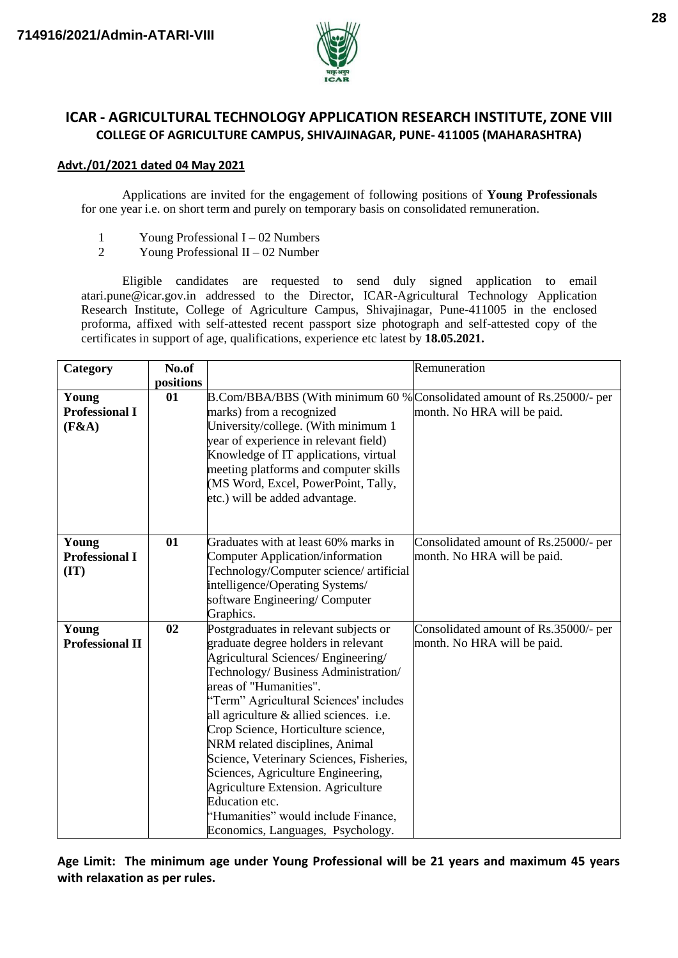

# **ICAR - AGRICULTURAL TECHNOLOGY APPLICATION RESEARCH INSTITUTE, ZONE VIII COLLEGE OF AGRICULTURE CAMPUS, SHIVAJINAGAR, PUNE- 411005 (MAHARASHTRA)**

#### **Advt./01/2021 dated 04 May 2021**

Applications are invited for the engagement of following positions of **Young Professionals**  for one year i.e. on short term and purely on temporary basis on consolidated remuneration.

- 1 Young Professional I 02 Numbers<br>2 Young Professional II 02 Number
- Young Professional  $II 02$  Number

Eligible candidates are requested to send duly signed application to email atari.pune@icar.gov.in addressed to the Director, ICAR-Agricultural Technology Application Research Institute, College of Agriculture Campus, Shivajinagar, Pune-411005 in the enclosed proforma, affixed with self-attested recent passport size photograph and self-attested copy of the certificates in support of age, qualifications, experience etc latest by **18.05.2021.**

| Category               | No.of     | Remuneration                                                           |                                       |  |
|------------------------|-----------|------------------------------------------------------------------------|---------------------------------------|--|
|                        | positions |                                                                        |                                       |  |
| Young                  | 01        | B.Com/BBA/BBS (With minimum 60 % Consolidated amount of Rs.25000/- per |                                       |  |
| <b>Professional I</b>  |           | marks) from a recognized                                               | month. No HRA will be paid.           |  |
| (F&A)                  |           | University/college. (With minimum 1                                    |                                       |  |
|                        |           | year of experience in relevant field)                                  |                                       |  |
|                        |           | Knowledge of IT applications, virtual                                  |                                       |  |
|                        |           | meeting platforms and computer skills                                  |                                       |  |
|                        |           | (MS Word, Excel, PowerPoint, Tally,                                    |                                       |  |
|                        |           | etc.) will be added advantage.                                         |                                       |  |
|                        |           |                                                                        |                                       |  |
|                        |           |                                                                        |                                       |  |
| Young                  | 01        | Graduates with at least 60% marks in                                   | Consolidated amount of Rs.25000/- per |  |
| <b>Professional I</b>  |           | <b>Computer Application/information</b>                                | month. No HRA will be paid.           |  |
| (TT)                   |           | Technology/Computer science/ artificial                                |                                       |  |
|                        |           | intelligence/Operating Systems/                                        |                                       |  |
|                        |           | software Engineering/Computer                                          |                                       |  |
|                        |           | Graphics.                                                              |                                       |  |
| Young                  | 02        | Postgraduates in relevant subjects or                                  | Consolidated amount of Rs.35000/- per |  |
| <b>Professional II</b> |           | graduate degree holders in relevant                                    | month. No HRA will be paid.           |  |
|                        |           | Agricultural Sciences/ Engineering/                                    |                                       |  |
|                        |           | Technology/Business Administration/                                    |                                       |  |
|                        |           | areas of "Humanities".                                                 |                                       |  |
|                        |           | "Term" Agricultural Sciences' includes                                 |                                       |  |
|                        |           | all agriculture & allied sciences. i.e.                                |                                       |  |
|                        |           | Crop Science, Horticulture science,                                    |                                       |  |
|                        |           | NRM related disciplines, Animal                                        |                                       |  |
|                        |           | Science, Veterinary Sciences, Fisheries,                               |                                       |  |
|                        |           | Sciences, Agriculture Engineering,                                     |                                       |  |
|                        |           | Agriculture Extension. Agriculture                                     |                                       |  |
|                        |           | Education etc.                                                         |                                       |  |
|                        |           | "Humanities" would include Finance,                                    |                                       |  |
|                        |           | Economics, Languages, Psychology.                                      |                                       |  |

**Age Limit: The minimum age under Young Professional will be 21 years and maximum 45 years with relaxation as per rules.**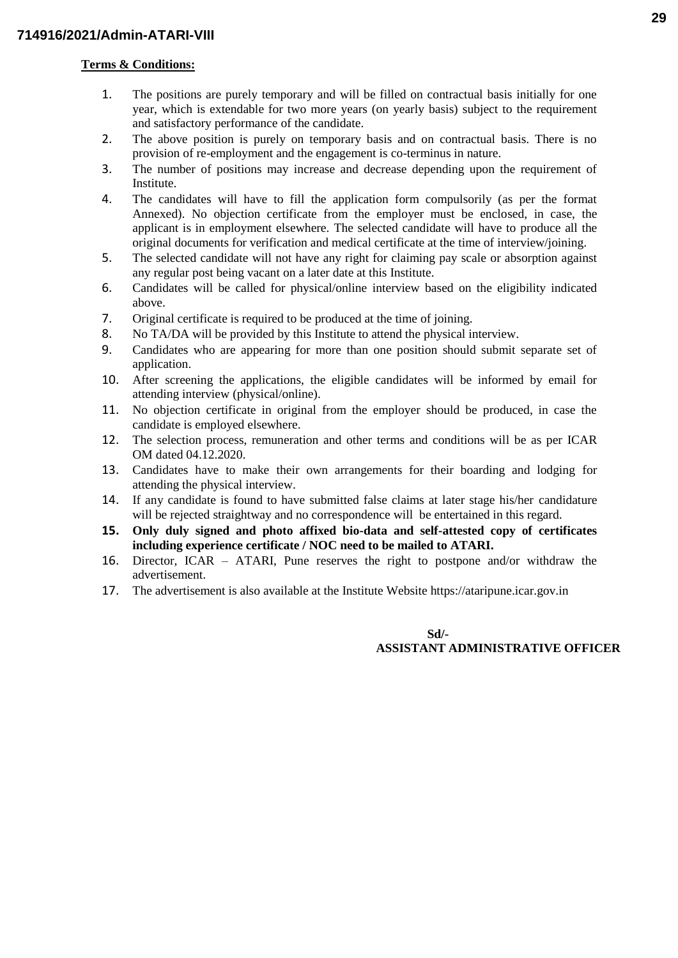### **Terms & Conditions:**

- 1. The positions are purely temporary and will be filled on contractual basis initially for one year, which is extendable for two more years (on yearly basis) subject to the requirement and satisfactory performance of the candidate.
- 2. The above position is purely on temporary basis and on contractual basis. There is no provision of re-employment and the engagement is co-terminus in nature.
- 3. The number of positions may increase and decrease depending upon the requirement of Institute.
- 4. The candidates will have to fill the application form compulsorily (as per the format Annexed). No objection certificate from the employer must be enclosed, in case, the applicant is in employment elsewhere. The selected candidate will have to produce all the original documents for verification and medical certificate at the time of interview/joining.
- 5. The selected candidate will not have any right for claiming pay scale or absorption against any regular post being vacant on a later date at this Institute.
- 6. Candidates will be called for physical/online interview based on the eligibility indicated above.
- 7. Original certificate is required to be produced at the time of joining.
- 8. No TA/DA will be provided by this Institute to attend the physical interview.
- 9. Candidates who are appearing for more than one position should submit separate set of application.
- 10. After screening the applications, the eligible candidates will be informed by email for attending interview (physical/online).
- 11. No objection certificate in original from the employer should be produced, in case the candidate is employed elsewhere.
- 12. The selection process, remuneration and other terms and conditions will be as per ICAR OM dated 04.12.2020.
- 13. Candidates have to make their own arrangements for their boarding and lodging for attending the physical interview.
- 14. If any candidate is found to have submitted false claims at later stage his/her candidature will be rejected straightway and no correspondence will be entertained in this regard.
- **15. Only duly signed and photo affixed bio-data and self-attested copy of certificates including experience certificate / NOC need to be mailed to ATARI.**
- 16. Director, ICAR ATARI, Pune reserves the right to postpone and/or withdraw the advertisement.
- 17. The advertisement is also available at the Institute Website https://ataripune.icar.gov.in

#### **Sd/- ASSISTANT ADMINISTRATIVE OFFICER**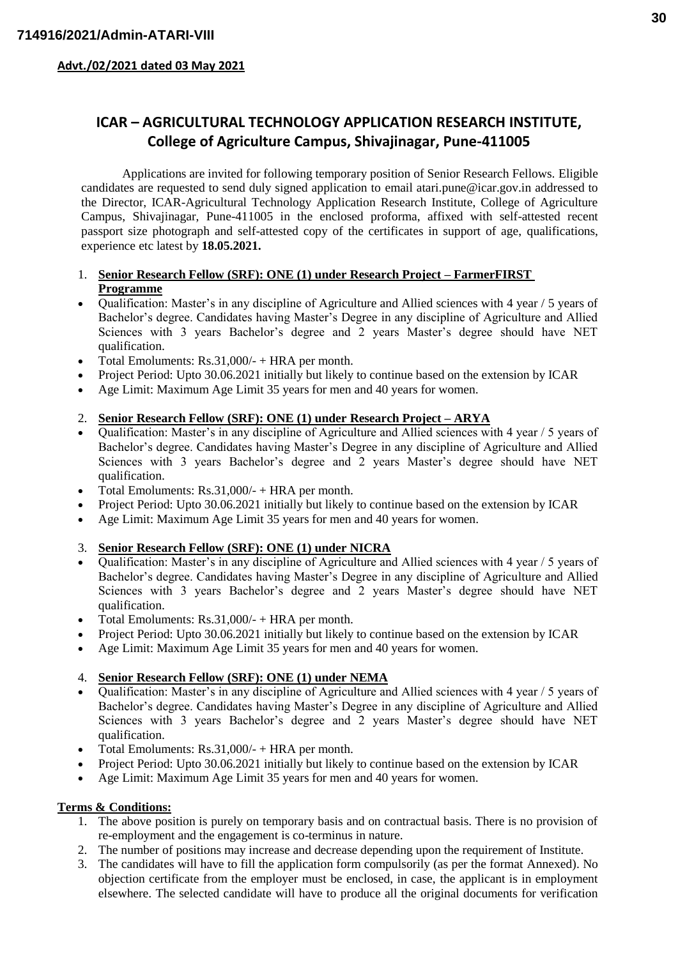**Advt./02/2021 dated 03 May 2021**

# **ICAR – AGRICULTURAL TECHNOLOGY APPLICATION RESEARCH INSTITUTE, College of Agriculture Campus, Shivajinagar, Pune-411005**

Applications are invited for following temporary position of Senior Research Fellows. Eligible candidates are requested to send duly signed application to email atari.pune@icar.gov.in addressed to the Director, ICAR-Agricultural Technology Application Research Institute, College of Agriculture Campus, Shivajinagar, Pune-411005 in the enclosed proforma, affixed with self-attested recent passport size photograph and self-attested copy of the certificates in support of age, qualifications, experience etc latest by **18.05.2021.**

### 1. **Senior Research Fellow (SRF): ONE (1) under Research Project – FarmerFIRST Programme**

- Qualification: Master's in any discipline of Agriculture and Allied sciences with 4 year / 5 years of Bachelor's degree. Candidates having Master's Degree in any discipline of Agriculture and Allied Sciences with 3 years Bachelor's degree and 2 years Master's degree should have NET qualification.
- Total Emoluments: Rs.31,000/- + HRA per month.
- Project Period: Upto 30.06.2021 initially but likely to continue based on the extension by ICAR
- Age Limit: Maximum Age Limit 35 years for men and 40 years for women.

## 2. **Senior Research Fellow (SRF): ONE (1) under Research Project – ARYA**

- Qualification: Master's in any discipline of Agriculture and Allied sciences with 4 year / 5 years of Bachelor's degree. Candidates having Master's Degree in any discipline of Agriculture and Allied Sciences with 3 years Bachelor's degree and 2 years Master's degree should have NET qualification.
- Total Emoluments:  $Rs.31,000/ HRA$  per month.
- Project Period: Upto 30.06.2021 initially but likely to continue based on the extension by ICAR
- Age Limit: Maximum Age Limit 35 years for men and 40 years for women.

## 3. **Senior Research Fellow (SRF): ONE (1) under NICRA**

- Qualification: Master's in any discipline of Agriculture and Allied sciences with 4 year / 5 years of Bachelor's degree. Candidates having Master's Degree in any discipline of Agriculture and Allied Sciences with 3 years Bachelor's degree and 2 years Master's degree should have NET qualification.
- Total Emoluments: Rs.31,000/- + HRA per month.
- Project Period: Upto 30.06.2021 initially but likely to continue based on the extension by ICAR
- Age Limit: Maximum Age Limit 35 years for men and 40 years for women.

## 4. **Senior Research Fellow (SRF): ONE (1) under NEMA**

- Qualification: Master's in any discipline of Agriculture and Allied sciences with 4 year / 5 years of Bachelor's degree. Candidates having Master's Degree in any discipline of Agriculture and Allied Sciences with 3 years Bachelor's degree and 2 years Master's degree should have NET qualification.
- Total Emoluments:  $Rs.31,000/ HRA$  per month.
- Project Period: Upto 30.06.2021 initially but likely to continue based on the extension by ICAR
- Age Limit: Maximum Age Limit 35 years for men and 40 years for women.

## **Terms & Conditions:**

- 1. The above position is purely on temporary basis and on contractual basis. There is no provision of re-employment and the engagement is co-terminus in nature.
- 2. The number of positions may increase and decrease depending upon the requirement of Institute.
- 3. The candidates will have to fill the application form compulsorily (as per the format Annexed). No objection certificate from the employer must be enclosed, in case, the applicant is in employment elsewhere. The selected candidate will have to produce all the original documents for verification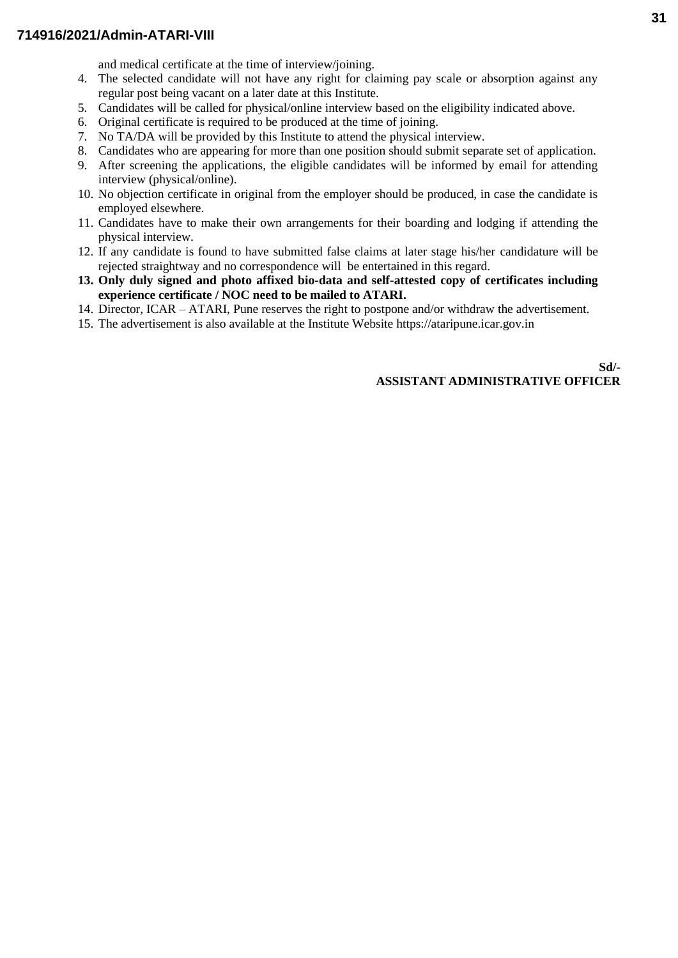### **714916/2021/Admin-ATARI-VIII**

and medical certificate at the time of interview/joining.

- 4. The selected candidate will not have any right for claiming pay scale or absorption against any regular post being vacant on a later date at this Institute.
- 5. Candidates will be called for physical/online interview based on the eligibility indicated above.
- 6. Original certificate is required to be produced at the time of joining.
- 7. No TA/DA will be provided by this Institute to attend the physical interview.
- 8. Candidates who are appearing for more than one position should submit separate set of application.
- 9. After screening the applications, the eligible candidates will be informed by email for attending interview (physical/online).
- 10. No objection certificate in original from the employer should be produced, in case the candidate is employed elsewhere.
- 11. Candidates have to make their own arrangements for their boarding and lodging if attending the physical interview.
- 12. If any candidate is found to have submitted false claims at later stage his/her candidature will be rejected straightway and no correspondence will be entertained in this regard.
- **13. Only duly signed and photo affixed bio-data and self-attested copy of certificates including experience certificate / NOC need to be mailed to ATARI.**
- 14. Director, ICAR ATARI, Pune reserves the right to postpone and/or withdraw the advertisement.
- 15. The advertisement is also available at the Institute Website https://ataripune.icar.gov.in

**Sd/- ASSISTANT ADMINISTRATIVE OFFICER**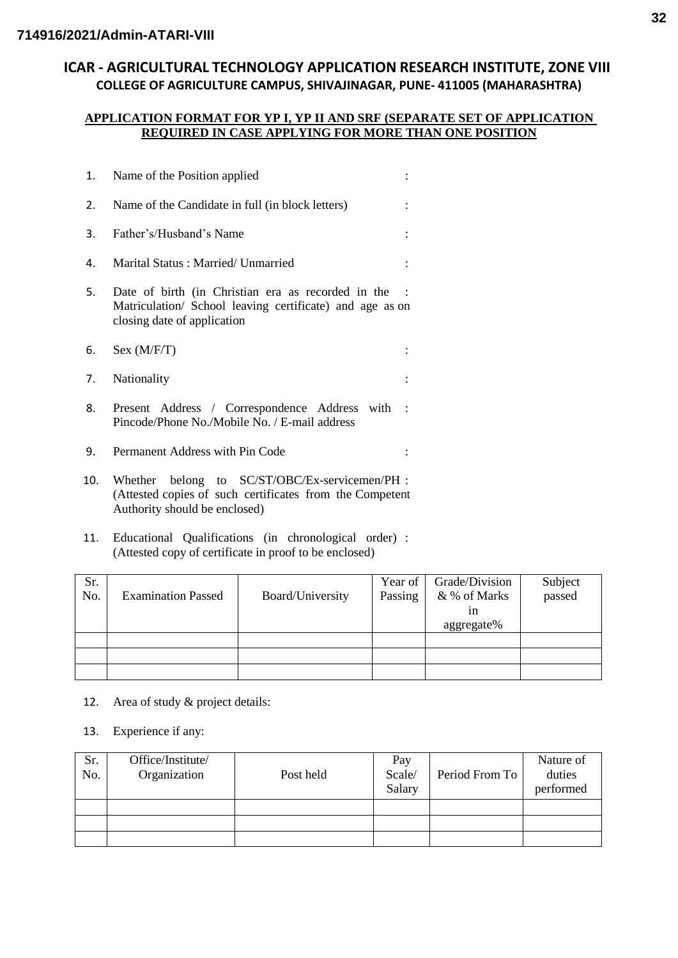# **ICAR - AGRICULTURAL TECHNOLOGY APPLICATION RESEARCH INSTITUTE, ZONE VIII COLLEGE OF AGRICULTURE CAMPUS, SHIVAJINAGAR, PUNE- 411005 (MAHARASHTRA)**

#### **APPLICATION FORMAT FOR YP I, YP II AND SRF (SEPARATE SET OF APPLICATION REQUIRED IN CASE APPLYING FOR MORE THAN ONE POSITION**

| 1.  | Name of the Position applied                                                                                                                  |                      |  |  |
|-----|-----------------------------------------------------------------------------------------------------------------------------------------------|----------------------|--|--|
| 2.  | Name of the Candidate in full (in block letters)                                                                                              |                      |  |  |
| 3.  | Father's/Husband's Name                                                                                                                       |                      |  |  |
| 4.  | Marital Status: Married/ Unmarried                                                                                                            |                      |  |  |
| 5.  | Date of birth (in Christian era as recorded in the<br>Matriculation/ School leaving certificate) and age as on<br>closing date of application |                      |  |  |
| 6.  | Sex (M/F/T)                                                                                                                                   |                      |  |  |
| 7.  | Nationality                                                                                                                                   |                      |  |  |
| 8.  | Present Address / Correspondence Address with<br>Pincode/Phone No./Mobile No. / E-mail address                                                | $\ddot{\phantom{0}}$ |  |  |
| 9.  | Permanent Address with Pin Code                                                                                                               |                      |  |  |
| 10. | Whether belong to SC/ST/OBC/Ex-servicemen/PH :<br>(Attested copies of such certificates from the Competent                                    |                      |  |  |

- Authority should be enclosed)
- 11. Educational Qualifications (in chronological order) : (Attested copy of certificate in proof to be enclosed)

| Sr.<br>No. | <b>Examination Passed</b> | Board/University | Year of  <br>Passing | Grade/Division<br>& % of Marks<br>ın<br>aggregate% | Subject<br>passed |
|------------|---------------------------|------------------|----------------------|----------------------------------------------------|-------------------|
|            |                           |                  |                      |                                                    |                   |
|            |                           |                  |                      |                                                    |                   |
|            |                           |                  |                      |                                                    |                   |

- 12. Area of study & project details:
- 13. Experience if any:

| Sr.<br>No. | Office/Institute/<br>Organization | Post held | Pay<br>Scale/<br>Salary | Period From To | Nature of<br>duties<br>performed |
|------------|-----------------------------------|-----------|-------------------------|----------------|----------------------------------|
|            |                                   |           |                         |                |                                  |
|            |                                   |           |                         |                |                                  |
|            |                                   |           |                         |                |                                  |